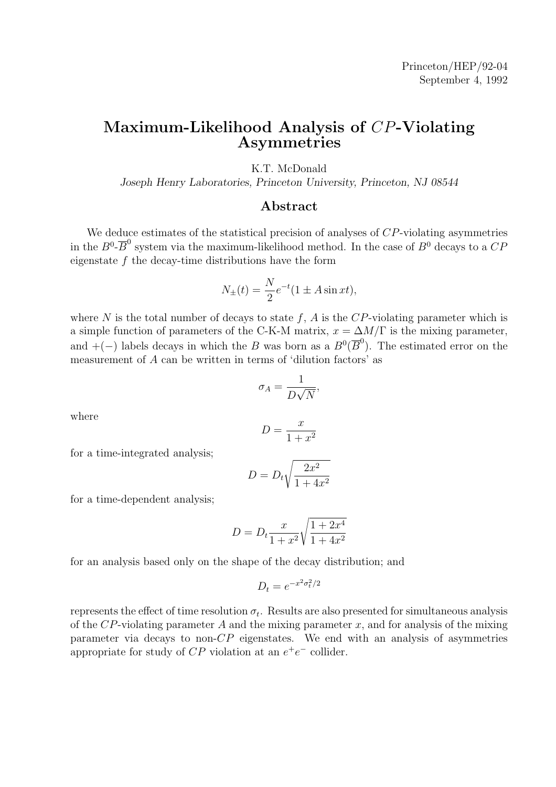#### Maximum-Likelihood Analysis of CP-Violating Asymmetries

K.T. McDonald

Joseph Henry Laboratories, Princeton University, Princeton, NJ 08544

#### Abstract

We deduce estimates of the statistical precision of analyses of  $CP$ -violating asymmetries in the  $B^0$ - $\overline{B}^0$  system via the maximum-likelihood method. In the case of  $B^0$  decays to a  $CP$ eigenstate  $f$  the decay-time distributions have the form

$$
N_{\pm}(t) = \frac{N}{2}e^{-t}(1 \pm A\sin xt),
$$

where N is the total number of decays to state  $f$ , A is the  $CP$ -violating parameter which is a simple function of parameters of the C-K-M matrix,  $x = \Delta M/\Gamma$  is the mixing parameter, and  $+(-)$  labels decays in which the B was born as a  $B^0(\overline{B}^0)$ . The estimated error on the measurement of A can be written in terms of 'dilution factors' as

$$
\sigma_A = \frac{1}{D\sqrt{N}},
$$

where

$$
D = \frac{x}{1 + x^2}
$$

for a time-integrated analysis;

$$
D = D_t \sqrt{\frac{2x^2}{1 + 4x^2}}
$$

for a time-dependent analysis;

$$
D = D_t \frac{x}{1 + x^2} \sqrt{\frac{1 + 2x^4}{1 + 4x^2}}
$$

for an analysis based only on the shape of the decay distribution; and

$$
D_t = e^{-x^2 \sigma_t^2/2}
$$

represents the effect of time resolution  $\sigma_t$ . Results are also presented for simultaneous analysis of the  $CP$ -violating parameter A and the mixing parameter x, and for analysis of the mixing parameter via decays to non- $CP$  eigenstates. We end with an analysis of asymmetries appropriate for study of  $CP$  violation at an  $e^+e^-$  collider.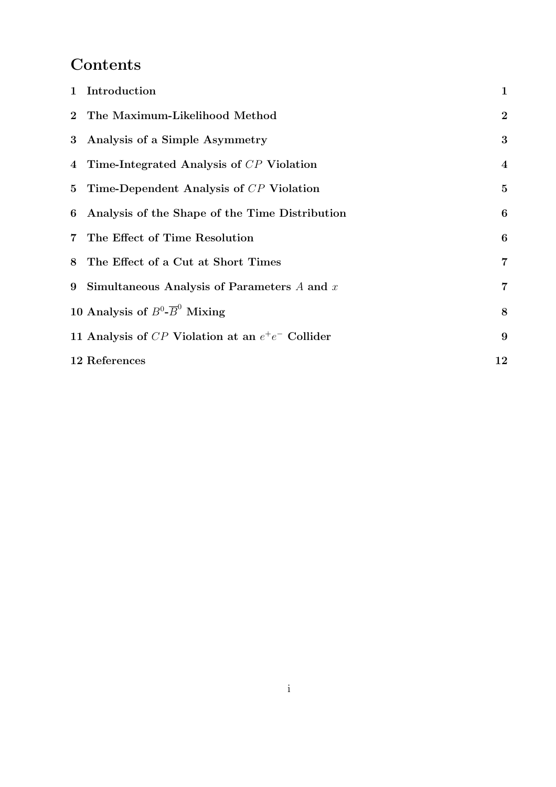## Contents

| 1 Introduction                                      | $\mathbf{1}$     |
|-----------------------------------------------------|------------------|
| 2 The Maximum-Likelihood Method                     | $\overline{2}$   |
| 3 Analysis of a Simple Asymmetry                    | 3                |
| 4 Time-Integrated Analysis of CP Violation          | $\bf{4}$         |
| 5 Time-Dependent Analysis of CP Violation           | $\overline{5}$   |
| 6 Analysis of the Shape of the Time Distribution    | 6                |
| 7 The Effect of Time Resolution                     | $\boldsymbol{6}$ |
| 8 The Effect of a Cut at Short Times                | $\overline{7}$   |
| 9 Simultaneous Analysis of Parameters $A$ and $x$   | $\overline{7}$   |
| 10 Analysis of $B^0$ - $\overline{B}^0$ Mixing      | $\bf 8$          |
| 11 Analysis of CP Violation at an $e^+e^-$ Collider | 9                |
| 12 References                                       | 12               |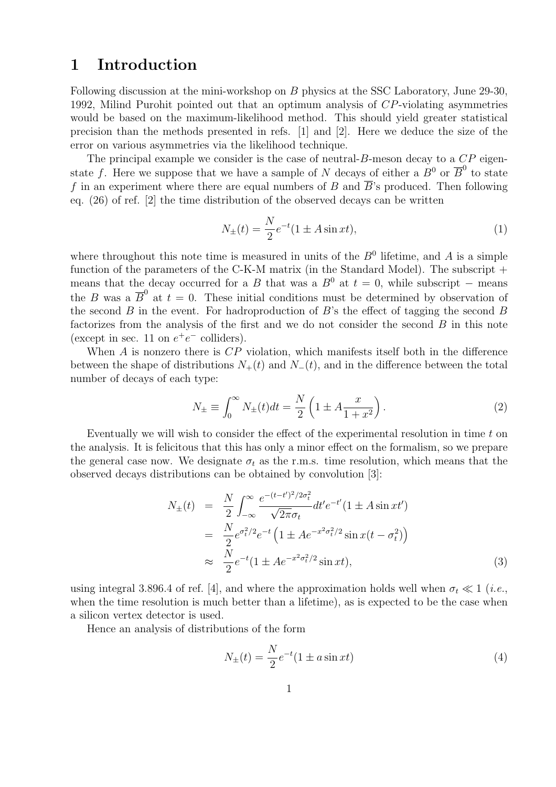#### 1 Introduction

Following discussion at the mini-workshop on B physics at the SSC Laboratory, June 29-30, 1992, Milind Purohit pointed out that an optimum analysis of CP-violating asymmetries would be based on the maximum-likelihood method. This should yield greater statistical precision than the methods presented in refs. [1] and [2]. Here we deduce the size of the error on various asymmetries via the likelihood technique.

The principal example we consider is the case of neutral- $B$ -meson decay to a  $\mathbb{CP}$  eigenstate f. Here we suppose that we have a sample of N decays of either a  $B^0$  or  $\overline{B}^0$  to state f in an experiment where there are equal numbers of B and  $\overline{B}$ 's produced. Then following eq. (26) of ref. [2] the time distribution of the observed decays can be written

$$
N_{\pm}(t) = \frac{N}{2}e^{-t}(1 \pm A\sin xt),
$$
\n(1)

where throughout this note time is measured in units of the  $B<sup>0</sup>$  lifetime, and A is a simple function of the parameters of the C-K-M matrix (in the Standard Model). The subscript  $+$ means that the decay occurred for a B that was a  $B^0$  at  $t = 0$ , while subscript – means the B was a  $\overline{B}^0$  at  $t = 0$ . These initial conditions must be determined by observation of the second  $B$  in the event. For hadroproduction of  $B$ 's the effect of tagging the second  $B$ factorizes from the analysis of the first and we do not consider the second  $B$  in this note (except in sec. 11 on  $e^+e^-$  colliders).

When  $A$  is nonzero there is  $\mathbb{CP}$  violation, which manifests itself both in the difference between the shape of distributions  $N_{+}(t)$  and  $N_{-}(t)$ , and in the difference between the total number of decays of each type:

$$
N_{\pm} \equiv \int_0^\infty N_{\pm}(t)dt = \frac{N}{2} \left( 1 \pm A \frac{x}{1+x^2} \right). \tag{2}
$$

Eventually we will wish to consider the effect of the experimental resolution in time  $t$  on the analysis. It is felicitous that this has only a minor effect on the formalism, so we prepare the general case now. We designate  $\sigma_t$  as the r.m.s. time resolution, which means that the observed decays distributions can be obtained by convolution [3]:

$$
N_{\pm}(t) = \frac{N}{2} \int_{-\infty}^{\infty} \frac{e^{-(t-t')^2/2\sigma_t^2}}{\sqrt{2\pi}\sigma_t} dt' e^{-t'} (1 \pm A \sin xt')
$$
  
= 
$$
\frac{N}{2} e^{\sigma_t^2/2} e^{-t} \left(1 \pm A e^{-x^2 \sigma_t^2/2} \sin x (t - \sigma_t^2)\right)
$$
  

$$
\approx \frac{N}{2} e^{-t} (1 \pm A e^{-x^2 \sigma_t^2/2} \sin xt),
$$
 (3)

using integral 3.896.4 of ref. [4], and where the approximation holds well when  $\sigma_t \ll 1$  (*i.e.*, when the time resolution is much better than a lifetime), as is expected to be the case when a silicon vertex detector is used.

Hence an analysis of distributions of the form

$$
N_{\pm}(t) = \frac{N}{2}e^{-t}(1 \pm a\sin xt)
$$
\n(4)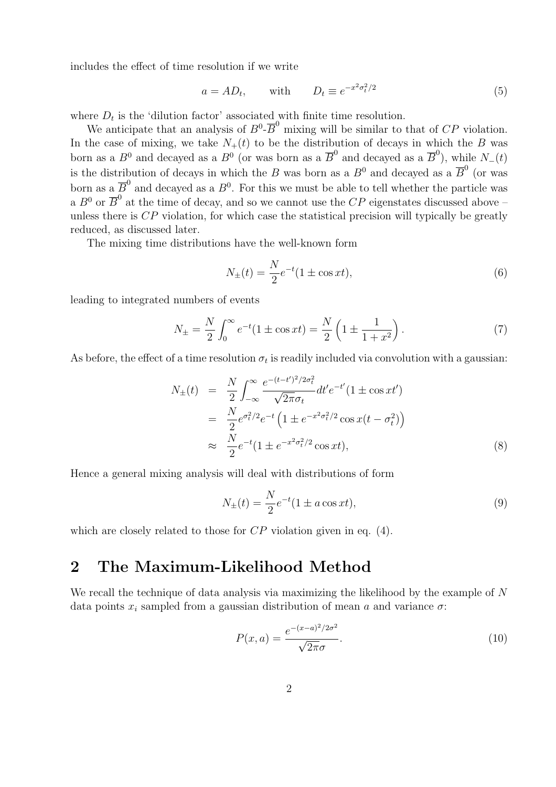includes the effect of time resolution if we write

$$
a = AD_t, \qquad \text{with} \qquad D_t \equiv e^{-x^2 \sigma_t^2/2} \tag{5}
$$

where  $D_t$  is the 'dilution factor' associated with finite time resolution.

We anticipate that an analysis of  $B^0$ - $\overline{B}^0$  mixing will be similar to that of CP violation. In the case of mixing, we take  $N_{+}(t)$  to be the distribution of decays in which the B was born as a  $B^0$  and decayed as a  $B^0$  (or was born as a  $\overline{B}^0$  and decayed as a  $\overline{B}^0$ ), while  $N_-(t)$ is the distribution of decays in which the B was born as a  $B^0$  and decayed as a  $\overline{B}^0$  (or was born as a  $\overline{B}^0$  and decayed as a  $B^0$ . For this we must be able to tell whether the particle was a  $B^0$  or  $\overline{B}^0$  at the time of decay, and so we cannot use the CP eigenstates discussed above – unless there is  $\overline{CP}$  violation, for which case the statistical precision will typically be greatly reduced, as discussed later.

The mixing time distributions have the well-known form

$$
N_{\pm}(t) = \frac{N}{2}e^{-t}(1 \pm \cos xt),
$$
\n(6)

leading to integrated numbers of events

$$
N_{\pm} = \frac{N}{2} \int_0^\infty e^{-t} (1 \pm \cos xt) = \frac{N}{2} \left( 1 \pm \frac{1}{1 + x^2} \right). \tag{7}
$$

As before, the effect of a time resolution  $\sigma_t$  is readily included via convolution with a gaussian:

$$
N_{\pm}(t) = \frac{N}{2} \int_{-\infty}^{\infty} \frac{e^{-(t-t')^2/2\sigma_t^2}}{\sqrt{2\pi}\sigma_t} dt' e^{-t'} (1 \pm \cos xt')
$$
  
= 
$$
\frac{N}{2} e^{\sigma_t^2/2} e^{-t} \left(1 \pm e^{-x^2\sigma_t^2/2} \cos x (t - \sigma_t^2)\right)
$$
  

$$
\approx \frac{N}{2} e^{-t} (1 \pm e^{-x^2\sigma_t^2/2} \cos xt),
$$
 (8)

Hence a general mixing analysis will deal with distributions of form

$$
N_{\pm}(t) = \frac{N}{2}e^{-t}(1 \pm a\cos xt),
$$
\n(9)

which are closely related to those for  $CP$  violation given in eq. (4).

#### 2 The Maximum-Likelihood Method

We recall the technique of data analysis via maximizing the likelihood by the example of N data points  $x_i$  sampled from a gaussian distribution of mean a and variance  $\sigma$ :

$$
P(x,a) = \frac{e^{-(x-a)^2/2\sigma^2}}{\sqrt{2\pi}\sigma}.
$$
\n(10)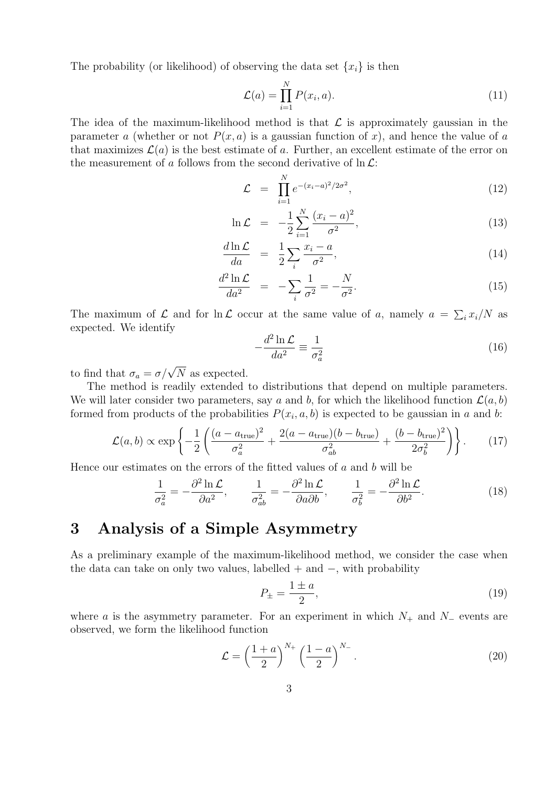The probability (or likelihood) of observing the data set  $\{x_i\}$  is then

$$
\mathcal{L}(a) = \prod_{i=1}^{N} P(x_i, a). \tag{11}
$$

The idea of the maximum-likelihood method is that  $\mathcal L$  is approximately gaussian in the parameter a (whether or not  $P(x, a)$  is a gaussian function of x), and hence the value of a that maximizes  $\mathcal{L}(a)$  is the best estimate of a. Further, an excellent estimate of the error on the measurement of a follows from the second derivative of  $\ln \mathcal{L}$ :

$$
\mathcal{L} = \prod_{i=1}^{N} e^{-(x_i - a)^2/2\sigma^2}, \qquad (12)
$$

$$
\ln \mathcal{L} = -\frac{1}{2} \sum_{i=1}^{N} \frac{(x_i - a)^2}{\sigma^2},
$$
\n(13)

$$
\frac{d\ln\mathcal{L}}{da} = \frac{1}{2} \sum_{i} \frac{x_i - a}{\sigma^2},\tag{14}
$$

$$
\frac{d^2 \ln \mathcal{L}}{da^2} = -\sum_{i} \frac{1}{\sigma^2} = -\frac{N}{\sigma^2}.
$$
\n(15)

The maximum of  $\mathcal L$  and for  $\ln \mathcal L$  occur at the same value of a, namely  $a = \sum_i x_i/N$  as expected. We identify

$$
-\frac{d^2 \ln \mathcal{L}}{da^2} \equiv \frac{1}{\sigma_a^2} \tag{16}
$$

to find that  $\sigma_a = \sigma / \sqrt{N}$  as expected.

The method is readily extended to distributions that depend on multiple parameters. We will later consider two parameters, say a and b, for which the likelihood function  $\mathcal{L}(a, b)$ formed from products of the probabilities  $P(x_i, a, b)$  is expected to be gaussian in a and b:

$$
\mathcal{L}(a,b) \propto \exp\left\{-\frac{1}{2}\left(\frac{(a-a_{\text{true}})^2}{\sigma_a^2} + \frac{2(a-a_{\text{true}})(b-b_{\text{true}})}{\sigma_{ab}^2} + \frac{(b-b_{\text{true}})^2}{2\sigma_b^2}\right)\right\}.
$$
 (17)

Hence our estimates on the errors of the fitted values of  $a$  and  $b$  will be

$$
\frac{1}{\sigma_a^2} = -\frac{\partial^2 \ln \mathcal{L}}{\partial a^2}, \qquad \frac{1}{\sigma_{ab}^2} = -\frac{\partial^2 \ln \mathcal{L}}{\partial a \partial b}, \qquad \frac{1}{\sigma_b^2} = -\frac{\partial^2 \ln \mathcal{L}}{\partial b^2}.
$$
 (18)

### 3 Analysis of a Simple Asymmetry

As a preliminary example of the maximum-likelihood method, we consider the case when the data can take on only two values, labelled  $+$  and  $-$ , with probability

$$
P_{\pm} = \frac{1 \pm a}{2},\tag{19}
$$

where a is the asymmetry parameter. For an experiment in which  $N_+$  and  $N_-$  events are observed, we form the likelihood function

$$
\mathcal{L} = \left(\frac{1+a}{2}\right)^{N_+} \left(\frac{1-a}{2}\right)^{N_-}.
$$
\n(20)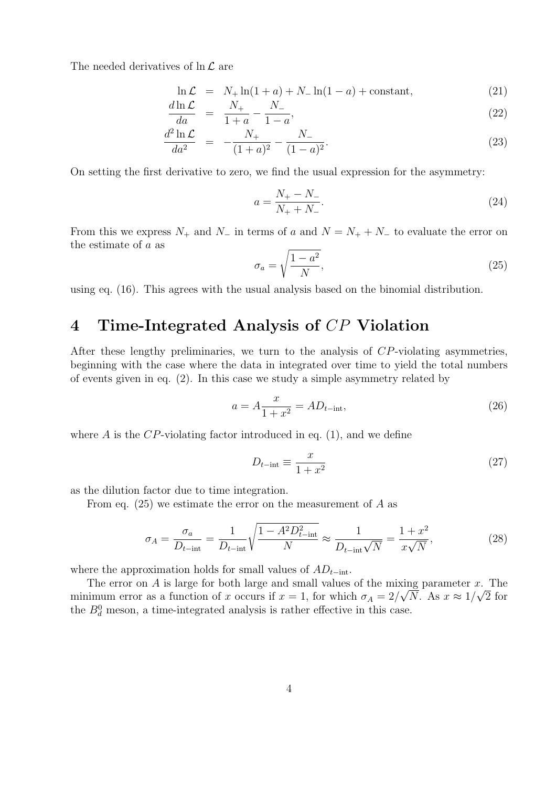The needed derivatives of  $\ln \mathcal{L}$  are

$$
\ln \mathcal{L} = N_+ \ln(1+a) + N_- \ln(1-a) + \text{constant},\tag{21}
$$

$$
\frac{d\ln \mathcal{L}}{da} = \frac{N_+}{1+a} - \frac{N_-}{1-a},\tag{22}
$$

$$
\frac{d^2 \ln \mathcal{L}}{da^2} = -\frac{N_+}{(1+a)^2} - \frac{N_-}{(1-a)^2}.
$$
\n(23)

On setting the first derivative to zero, we find the usual expression for the asymmetry:

$$
a = \frac{N_+ - N_-}{N_+ + N_-}.\tag{24}
$$

From this we express  $N_+$  and  $N_-$  in terms of a and  $N = N_+ + N_-$  to evaluate the error on the estimate of a as s

$$
\sigma_a = \sqrt{\frac{1 - a^2}{N}},\tag{25}
$$

using eq. (16). This agrees with the usual analysis based on the binomial distribution.

## 4 Time-Integrated Analysis of CP Violation

After these lengthy preliminaries, we turn to the analysis of CP-violating asymmetries, beginning with the case where the data in integrated over time to yield the total numbers of events given in eq. (2). In this case we study a simple asymmetry related by

$$
a = A \frac{x}{1 + x^2} = AD_{t-\text{int}},\tag{26}
$$

where A is the  $CP$ -violating factor introduced in eq. (1), and we define

$$
D_{t-\text{int}} \equiv \frac{x}{1+x^2} \tag{27}
$$

as the dilution factor due to time integration.

From eq.  $(25)$  we estimate the error on the measurement of A as

$$
\sigma_A = \frac{\sigma_a}{D_{t-\text{int}}} = \frac{1}{D_{t-\text{int}}} \sqrt{\frac{1 - A^2 D_{t-\text{int}}^2}{N}} \approx \frac{1}{D_{t-\text{int}}\sqrt{N}} = \frac{1 + x^2}{x\sqrt{N}},\tag{28}
$$

where the approximation holds for small values of  $AD_{t-int}$ .

The error on A is large for both large and small values of the mixing parameter x. The minimum error as a function of x occurs if  $x = 1$ , for which  $\sigma_A = 2/\sqrt{N}$ . As  $x \approx 1/\sqrt{2}$  for the  $B_d^0$  meson, a time-integrated analysis is rather effective in this case.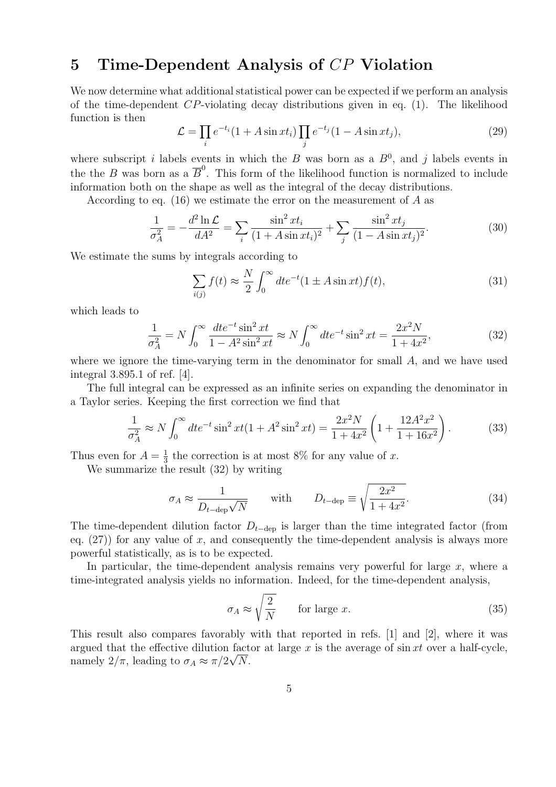## 5 Time-Dependent Analysis of CP Violation

We now determine what additional statistical power can be expected if we perform an analysis of the time-dependent  $CP$ -violating decay distributions given in eq. (1). The likelihood function is then  $\overline{y}$  $\overline{y}$ 

$$
\mathcal{L} = \prod_i e^{-t_i} (1 + A \sin xt_i) \prod_j e^{-t_j} (1 - A \sin xt_j), \tag{29}
$$

where subscript i labels events in which the B was born as a  $B^0$ , and j labels events in the the B was born as a  $\overline{B}^0$ . This form of the likelihood function is normalized to include information both on the shape as well as the integral of the decay distributions.

According to eq. (16) we estimate the error on the measurement of  $A$  as

$$
\frac{1}{\sigma_A^2} = -\frac{d^2 \ln \mathcal{L}}{dA^2} = \sum_i \frac{\sin^2 xt_i}{(1 + A \sin xt_i)^2} + \sum_j \frac{\sin^2 xt_j}{(1 - A \sin xt_j)^2}.
$$
(30)

We estimate the sums by integrals according to

$$
\sum_{i(j)} f(t) \approx \frac{N}{2} \int_0^\infty dt e^{-t} (1 \pm A \sin xt) f(t), \tag{31}
$$

which leads to

$$
\frac{1}{\sigma_A^2} = N \int_0^\infty \frac{dt e^{-t} \sin^2 xt}{1 - A^2 \sin^2 xt} \approx N \int_0^\infty dt e^{-t} \sin^2 xt = \frac{2x^2 N}{1 + 4x^2},\tag{32}
$$

where we ignore the time-varying term in the denominator for small A, and we have used integral 3.895.1 of ref. [4].

The full integral can be expressed as an infinite series on expanding the denominator in a Taylor series. Keeping the first correction we find that

$$
\frac{1}{\sigma_A^2} \approx N \int_0^\infty dt e^{-t} \sin^2 xt (1 + A^2 \sin^2 xt) = \frac{2x^2 N}{1 + 4x^2} \left( 1 + \frac{12A^2 x^2}{1 + 16x^2} \right). \tag{33}
$$

Thus even for  $A=\frac{1}{3}$  $\frac{1}{3}$  the correction is at most 8% for any value of x.

We summarize the result (32) by writing

$$
\sigma_A \approx \frac{1}{D_{t-\text{dep}}\sqrt{N}} \quad \text{with} \quad D_{t-\text{dep}} \equiv \sqrt{\frac{2x^2}{1+4x^2}}.
$$
 (34)

The time-dependent dilution factor  $D_{t-\text{dep}}$  is larger than the time integrated factor (from eq.  $(27)$  for any value of x, and consequently the time-dependent analysis is always more powerful statistically, as is to be expected.

In particular, the time-dependent analysis remains very powerful for large  $x$ , where a time-integrated analysis yields no information. Indeed, for the time-dependent analysis,

$$
\sigma_A \approx \sqrt{\frac{2}{N}} \qquad \text{for large } x. \tag{35}
$$

This result also compares favorably with that reported in refs. [1] and [2], where it was argued that the effective dilution factor at large x is the average of  $\sin xt$  over a half-cycle, namely  $2/\pi$ , leading to  $\sigma_A \approx \pi/2\sqrt{N}$ .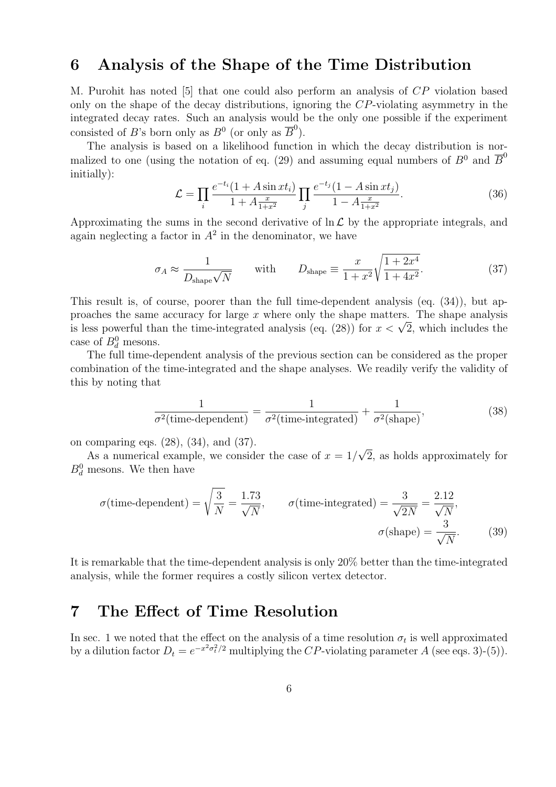#### 6 Analysis of the Shape of the Time Distribution

M. Purohit has noted [5] that one could also perform an analysis of CP violation based only on the shape of the decay distributions, ignoring the CP-violating asymmetry in the integrated decay rates. Such an analysis would be the only one possible if the experiment consisted of B's born only as  $B^0$  (or only as  $\overline{B}^0$ ).

The analysis is based on a likelihood function in which the decay distribution is normalized to one (using the notation of eq. (29) and assuming equal numbers of  $B^0$  and  $\overline{B}^0$ initially):

$$
\mathcal{L} = \prod_{i} \frac{e^{-t_i} (1 + A \sin xt_i)}{1 + A \frac{x}{1 + x^2}} \prod_{j} \frac{e^{-t_j} (1 - A \sin xt_j)}{1 - A \frac{x}{1 + x^2}}.
$$
(36)

Approximating the sums in the second derivative of  $\ln \mathcal{L}$  by the appropriate integrals, and again neglecting a factor in  $A^2$  in the denominator, we have

$$
\sigma_A \approx \frac{1}{D_{\text{shape}}\sqrt{N}} \quad \text{with} \quad D_{\text{shape}} \equiv \frac{x}{1+x^2} \sqrt{\frac{1+2x^4}{1+4x^2}}. \tag{37}
$$

This result is, of course, poorer than the full time-dependent analysis (eq. (34)), but approaches the same accuracy for large  $x$  where only the shape matters. The shape analysis proacnes the same accuracy for large x where only the shape matters. The shape analysis<br>is less powerful than the time-integrated analysis (eq. (28)) for  $x < \sqrt{2}$ , which includes the case of  $B_d^0$  mesons.

The full time-dependent analysis of the previous section can be considered as the proper combination of the time-integrated and the shape analyses. We readily verify the validity of this by noting that

$$
\frac{1}{\sigma^2(\text{time-dependent})} = \frac{1}{\sigma^2(\text{time-integrated})} + \frac{1}{\sigma^2(\text{shape})},\tag{38}
$$

on comparing eqs. (28), (34), and (37).

As a numerical example, we consider the case of  $x = 1/$ √ 2, as holds approximately for  $B_d^0$  mesons. We then have

$$
\sigma(\text{time-dependent}) = \sqrt{\frac{3}{N}} = \frac{1.73}{\sqrt{N}}, \qquad \sigma(\text{time-integrated}) = \frac{3}{\sqrt{2N}} = \frac{2.12}{\sqrt{N}},
$$

$$
\sigma(\text{shape}) = \frac{3}{\sqrt{N}}.
$$
(39)

It is remarkable that the time-dependent analysis is only 20% better than the time-integrated analysis, while the former requires a costly silicon vertex detector.

#### 7 The Effect of Time Resolution

In sec. 1 we noted that the effect on the analysis of a time resolution  $\sigma_t$  is well approximated by a dilution factor  $D_t = e^{-x^2 \sigma_t^2/2}$  multiplying the CP-violating parameter A (see eqs. 3)-(5)).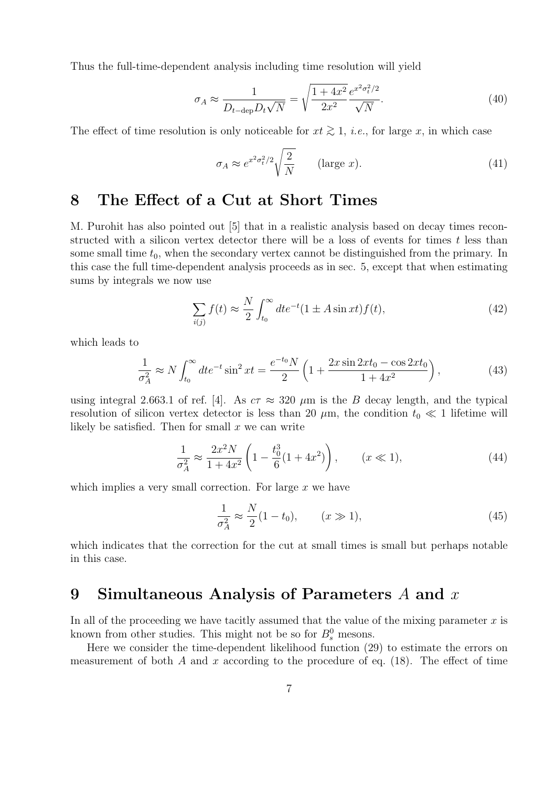Thus the full-time-dependent analysis including time resolution will yield

$$
\sigma_A \approx \frac{1}{D_{t-\text{dep}} D_t \sqrt{N}} = \sqrt{\frac{1+4x^2}{2x^2}} \frac{e^{x^2 \sigma_t^2/2}}{\sqrt{N}}.
$$
\n(40)

The effect of time resolution is only noticeable for  $xt \geq 1$ , *i.e.*, for large x, in which case

$$
\sigma_A \approx e^{x^2 \sigma_t^2/2} \sqrt{\frac{2}{N}} \qquad \text{(large } x\text{)}.
$$
\n(41)

#### 8 The Effect of a Cut at Short Times

M. Purohit has also pointed out [5] that in a realistic analysis based on decay times reconstructed with a silicon vertex detector there will be a loss of events for times  $t$  less than some small time  $t_0$ , when the secondary vertex cannot be distinguished from the primary. In this case the full time-dependent analysis proceeds as in sec. 5, except that when estimating sums by integrals we now use

$$
\sum_{i(j)} f(t) \approx \frac{N}{2} \int_{t_0}^{\infty} dt e^{-t} (1 \pm A \sin xt) f(t), \qquad (42)
$$

which leads to

$$
\frac{1}{\sigma_A^2} \approx N \int_{t_0}^{\infty} dt e^{-t} \sin^2 xt = \frac{e^{-t_0} N}{2} \left( 1 + \frac{2x \sin 2xt_0 - \cos 2xt_0}{1 + 4x^2} \right),\tag{43}
$$

using integral 2.663.1 of ref. [4]. As  $c\tau \approx 320 \ \mu \text{m}$  is the B decay length, and the typical resolution of silicon vertex detector is less than 20  $\mu$ m, the condition  $t_0 \ll 1$  lifetime will likely be satisfied. Then for small  $x$  we can write

$$
\frac{1}{\sigma_A^2} \approx \frac{2x^2 N}{1 + 4x^2} \left( 1 - \frac{t_0^3}{6} (1 + 4x^2) \right), \qquad (x \ll 1), \tag{44}
$$

which implies a very small correction. For large  $x$  we have

$$
\frac{1}{\sigma_A^2} \approx \frac{N}{2} (1 - t_0), \qquad (x \gg 1), \tag{45}
$$

which indicates that the correction for the cut at small times is small but perhaps notable in this case.

## 9 Simultaneous Analysis of Parameters  $A$  and  $x$

In all of the proceeding we have tacitly assumed that the value of the mixing parameter  $x$  is known from other studies. This might not be so for  $B_s^0$  mesons.

Here we consider the time-dependent likelihood function (29) to estimate the errors on measurement of both A and x according to the procedure of eq.  $(18)$ . The effect of time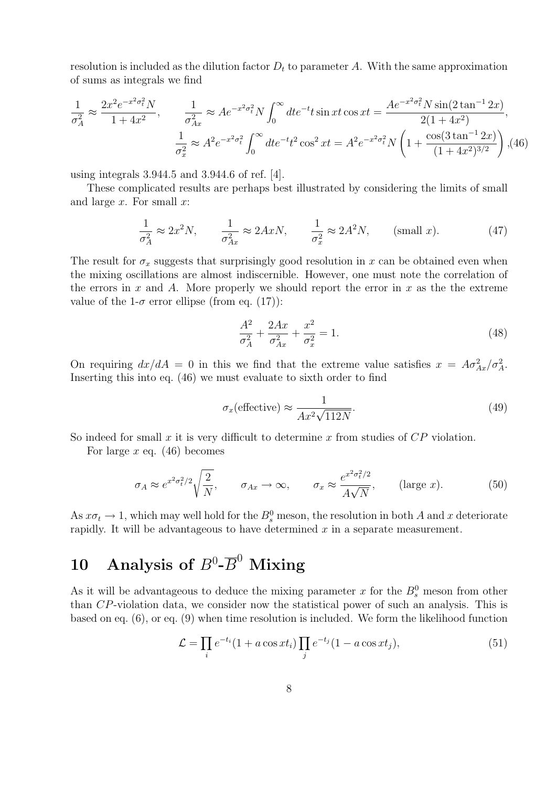resolution is included as the dilution factor  $D_t$  to parameter A. With the same approximation of sums as integrals we find

$$
\frac{1}{\sigma_A^2} \approx \frac{2x^2 e^{-x^2 \sigma_t^2} N}{1 + 4x^2}, \qquad \frac{1}{\sigma_{Ax}^2} \approx A e^{-x^2 \sigma_t^2} N \int_0^\infty dt e^{-t} t \sin xt \cos xt = \frac{A e^{-x^2 \sigma_t^2} N \sin(2 \tan^{-1} 2x)}{2(1 + 4x^2)},
$$

$$
\frac{1}{\sigma_x^2} \approx A^2 e^{-x^2 \sigma_t^2} \int_0^\infty dt e^{-t} t^2 \cos^2 xt = A^2 e^{-x^2 \sigma_t^2} N \left(1 + \frac{\cos(3 \tan^{-1} 2x)}{(1 + 4x^2)^{3/2}}\right),
$$
(46)

using integrals 3.944.5 and 3.944.6 of ref. [4].

These complicated results are perhaps best illustrated by considering the limits of small and large  $x$ . For small  $x$ :

$$
\frac{1}{\sigma_A^2} \approx 2x^2 N, \qquad \frac{1}{\sigma_{Ax}^2} \approx 2AxN, \qquad \frac{1}{\sigma_x^2} \approx 2A^2 N, \qquad \text{(small } x\text{)}.
$$
 (47)

The result for  $\sigma_x$  suggests that surprisingly good resolution in x can be obtained even when the mixing oscillations are almost indiscernible. However, one must note the correlation of the errors in x and A. More properly we should report the error in x as the the extreme value of the 1- $\sigma$  error ellipse (from eq. (17)):

$$
\frac{A^2}{\sigma_A^2} + \frac{2Ax}{\sigma_{Ax}^2} + \frac{x^2}{\sigma_x^2} = 1.
$$
 (48)

On requiring  $dx/dA = 0$  in this we find that the extreme value satisfies  $x = A\sigma_{Ax}^2/\sigma_A^2$ . Inserting this into eq. (46) we must evaluate to sixth order to find

$$
\sigma_x(\text{effective}) \approx \frac{1}{Ax^2\sqrt{112N}}.\tag{49}
$$

So indeed for small x it is very difficult to determine x from studies of  $CP$  violation.

For large  $x$  eq. (46) becomes

$$
\sigma_A \approx e^{x^2 \sigma_t^2/2} \sqrt{\frac{2}{N}}, \qquad \sigma_{Ax} \to \infty, \qquad \sigma_x \approx \frac{e^{x^2 \sigma_t^2/2}}{A\sqrt{N}}, \qquad \text{(large } x\text{)}.
$$
 (50)

As  $x\sigma_t \to 1$ , which may well hold for the  $B_s^0$  meson, the resolution in both A and x deteriorate rapidly. It will be advantageous to have determined  $x$  in a separate measurement.

# 10 Analysis of  $B^0$ - $\overline{B}^0$  Mixing

As it will be advantageous to deduce the mixing parameter x for the  $B_s^0$  meson from other than CP-violation data, we consider now the statistical power of such an analysis. This is based on eq. (6), or eq. (9) when time resolution is included. We form the likelihood function

$$
\mathcal{L} = \prod_{i} e^{-t_i} (1 + a \cos xt_i) \prod_{j} e^{-t_j} (1 - a \cos xt_j), \tag{51}
$$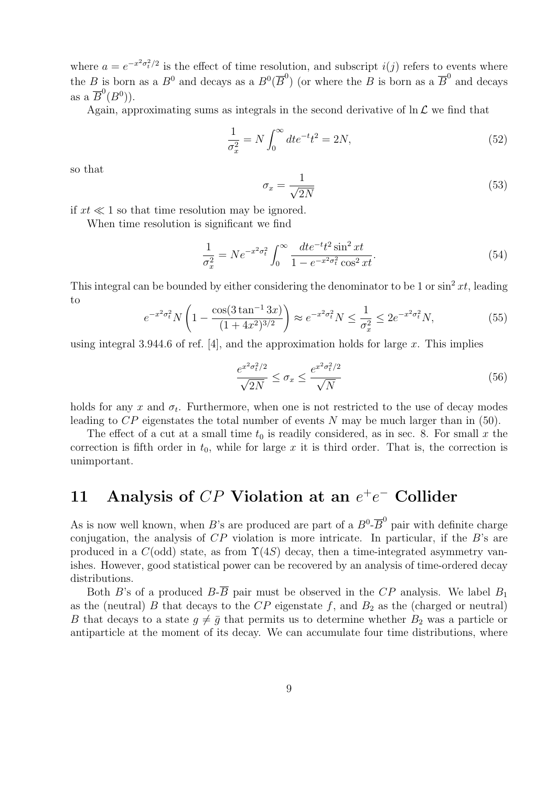where  $a = e^{-x^2 \sigma_t^2/2}$  is the effect of time resolution, and subscript  $i(j)$  refers to events where the B is born as a  $B^0$  and decays as a  $B^0(\overline{B}^0)$  (or where the B is born as a  $\overline{B}^0$  and decays as a  $\overline{B}^0(B^0)$ ).

Again, approximating sums as integrals in the second derivative of  $\ln \mathcal{L}$  we find that

$$
\frac{1}{\sigma_x^2} = N \int_0^\infty dt e^{-t} t^2 = 2N,
$$
\n(52)

so that

$$
\sigma_x = \frac{1}{\sqrt{2N}}\tag{53}
$$

if  $xt \ll 1$  so that time resolution may be ignored.

When time resolution is significant we find

$$
\frac{1}{\sigma_x^2} = N e^{-x^2 \sigma_t^2} \int_0^\infty \frac{dt e^{-t} t^2 \sin^2 xt}{1 - e^{-x^2 \sigma_t^2} \cos^2 xt}.
$$
\n(54)

This integral can be bounded by either considering the denominator to be 1 or  $\sin^2 xt$ , leading to  $\overline{\phantom{a}}$ !<br>}

$$
e^{-x^2 \sigma_t^2} N \left( 1 - \frac{\cos(3 \tan^{-1} 3x)}{(1 + 4x^2)^{3/2}} \right) \approx e^{-x^2 \sigma_t^2} N \le \frac{1}{\sigma_x^2} \le 2e^{-x^2 \sigma_t^2} N,\tag{55}
$$

using integral 3.944.6 of ref. [4], and the approximation holds for large  $x$ . This implies

$$
\frac{e^{x^2 \sigma_t^2/2}}{\sqrt{2N}} \le \sigma_x \le \frac{e^{x^2 \sigma_t^2/2}}{\sqrt{N}}\tag{56}
$$

holds for any x and  $\sigma_t$ . Furthermore, when one is not restricted to the use of decay modes leading to  $CP$  eigenstates the total number of events N may be much larger than in (50).

The effect of a cut at a small time  $t_0$  is readily considered, as in sec. 8. For small x the correction is fifth order in  $t_0$ , while for large x it is third order. That is, the correction is unimportant.

## 11 Analysis of  $CP$  Violation at an  $e^+e^-$  Collider

As is now well known, when B's are produced are part of a  $B^0$ - $\overline{B}^0$  pair with definite charge conjugation, the analysis of  $CP$  violation is more intricate. In particular, if the B's are produced in a  $C(\text{odd})$  state, as from  $\Upsilon(4S)$  decay, then a time-integrated asymmetry vanishes. However, good statistical power can be recovered by an analysis of time-ordered decay distributions.

Both B's of a produced  $B-\overline{B}$  pair must be observed in the CP analysis. We label  $B_1$ as the (neutral) B that decays to the  $CP$  eigenstate f, and  $B_2$  as the (charged or neutral) B that decays to a state  $q \neq \overline{q}$  that permits us to determine whether  $B_2$  was a particle or antiparticle at the moment of its decay. We can accumulate four time distributions, where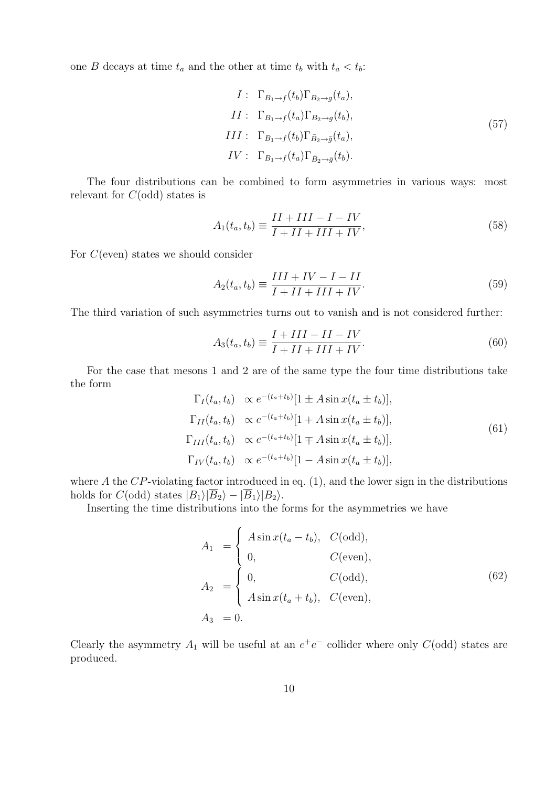one B decays at time  $t_a$  and the other at time  $t_b$  with  $t_a < t_b$ :

$$
I: \Gamma_{B_1 \to f}(t_b) \Gamma_{B_2 \to g}(t_a),
$$
  
\n
$$
II: \Gamma_{B_1 \to f}(t_a) \Gamma_{B_2 \to g}(t_b),
$$
  
\n
$$
III: \Gamma_{B_1 \to f}(t_b) \Gamma_{\bar{B}_2 \to \bar{g}}(t_a),
$$
  
\n
$$
IV: \Gamma_{B_1 \to f}(t_a) \Gamma_{\bar{B}_2 \to \bar{g}}(t_b).
$$
\n
$$
(57)
$$

The four distributions can be combined to form asymmetries in various ways: most relevant for  $C(\text{odd})$  states is

$$
A_1(t_a, t_b) \equiv \frac{II + III - I - IV}{I + II + III + IV},\tag{58}
$$

For C(even) states we should consider

$$
A_2(t_a, t_b) \equiv \frac{III + IV - I - II}{I + II + III + IV}.
$$
\n(59)

The third variation of such asymmetries turns out to vanish and is not considered further:

$$
A_3(t_a, t_b) \equiv \frac{I + III - II - IV}{I + II + III + IV}.
$$
\n(60)

For the case that mesons 1 and 2 are of the same type the four time distributions take the form

$$
\Gamma_I(t_a, t_b) \propto e^{-(t_a + t_b)} [1 \pm A \sin x (t_a \pm t_b)],
$$
  
\n
$$
\Gamma_{II}(t_a, t_b) \propto e^{-(t_a + t_b)} [1 + A \sin x (t_a \pm t_b)],
$$
  
\n
$$
\Gamma_{III}(t_a, t_b) \propto e^{-(t_a + t_b)} [1 \mp A \sin x (t_a \pm t_b)],
$$
  
\n
$$
\Gamma_{IV}(t_a, t_b) \propto e^{-(t_a + t_b)} [1 - A \sin x (t_a \pm t_b)],
$$
\n(61)

where  $A$  the  $CP$ -violating factor introduced in eq. (1), and the lower sign in the distributions holds for  $C(\text{odd})$  states  $|B_1\rangle|\overline{B}_2\rangle - |\overline{B}_1\rangle|B_2\rangle$ .

Inserting the time distributions into the forms for the asymmetries we have

$$
A_1 = \begin{cases} A \sin x(t_a - t_b), & C(\text{odd}), \\ 0, & C(\text{even}), \end{cases}
$$
  
\n
$$
A_2 = \begin{cases} 0, & C(\text{odd}), \\ A \sin x(t_a + t_b), & C(\text{even}), \end{cases}
$$
  
\n
$$
A_3 = 0.
$$
  
\n(62)

Clearly the asymmetry  $A_1$  will be useful at an  $e^+e^-$  collider where only  $C(\text{odd})$  states are produced.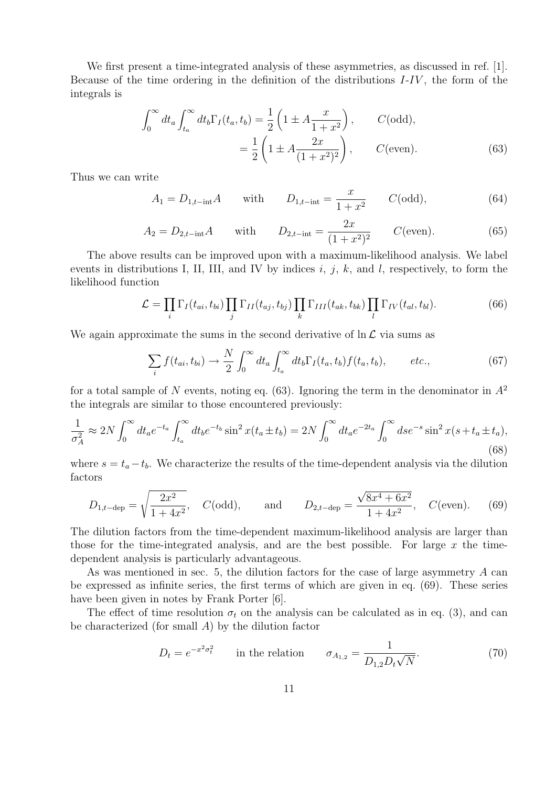We first present a time-integrated analysis of these asymmetries, as discussed in ref. [1]. Because of the time ordering in the definition of the distributions  $I-IV$ , the form of the integrals is

$$
\int_0^\infty dt_a \int_{t_a}^\infty dt_b \Gamma_I(t_a, t_b) = \frac{1}{2} \left( 1 \pm A \frac{x}{1+x^2} \right), \qquad C(\text{odd}),
$$

$$
= \frac{1}{2} \left( 1 \pm A \frac{2x}{(1+x^2)^2} \right), \qquad C(\text{even}). \tag{63}
$$

Thus we can write

$$
A_1 = D_{1,t-\text{int}}A
$$
 with  $D_{1,t-\text{int}} = \frac{x}{1+x^2}$   $C(\text{odd}),$  (64)

$$
A_2 = D_{2,t-\text{int}}A \quad \text{with} \quad D_{2,t-\text{int}} = \frac{2x}{(1+x^2)^2} \quad C(\text{even}). \tag{65}
$$

The above results can be improved upon with a maximum-likelihood analysis. We label events in distributions I, II, III, and IV by indices  $i, j, k$ , and l, respectively, to form the likelihood function

$$
\mathcal{L} = \prod_i \Gamma_I(t_{ai}, t_{bi}) \prod_j \Gamma_{II}(t_{aj}, t_{bj}) \prod_k \Gamma_{III}(t_{ak}, t_{bk}) \prod_l \Gamma_{IV}(t_{al}, t_{bl}). \tag{66}
$$

We again approximate the sums in the second derivative of  $\ln \mathcal{L}$  via sums as

$$
\sum_{i} f(t_{ai}, t_{bi}) \rightarrow \frac{N}{2} \int_0^\infty dt_a \int_{t_a}^\infty dt_b \Gamma_I(t_a, t_b) f(t_a, t_b), \qquad etc., \tag{67}
$$

for a total sample of N events, noting eq. (63). Ignoring the term in the denominator in  $A^2$ the integrals are similar to those encountered previously:

$$
\frac{1}{\sigma_A^2} \approx 2N \int_0^\infty dt_a e^{-t_a} \int_{t_a}^\infty dt_b e^{-t_b} \sin^2 x (t_a \pm t_b) = 2N \int_0^\infty dt_a e^{-2t_a} \int_0^\infty ds e^{-s} \sin^2 x (s + t_a \pm t_a), \tag{68}
$$

where  $s = t_a - t_b$ . We characterize the results of the time-dependent analysis via the dilution factors

$$
D_{1,t-\text{dep}} = \sqrt{\frac{2x^2}{1+4x^2}}
$$
,  $C(\text{odd})$ , and  $D_{2,t-\text{dep}} = \frac{\sqrt{8x^4+6x^2}}{1+4x^2}$ ,  $C(\text{even})$ . (69)

The dilution factors from the time-dependent maximum-likelihood analysis are larger than those for the time-integrated analysis, and are the best possible. For large  $x$  the timedependent analysis is particularly advantageous.

As was mentioned in sec. 5, the dilution factors for the case of large asymmetry A can be expressed as infinite series, the first terms of which are given in eq. (69). These series have been given in notes by Frank Porter [6].

The effect of time resolution  $\sigma_t$  on the analysis can be calculated as in eq. (3), and can be characterized (for small  $A$ ) by the dilution factor

$$
D_t = e^{-x^2 \sigma_t^2} \qquad \text{in the relation} \qquad \sigma_{A_{1,2}} = \frac{1}{D_{1,2} D_t \sqrt{N}}. \tag{70}
$$